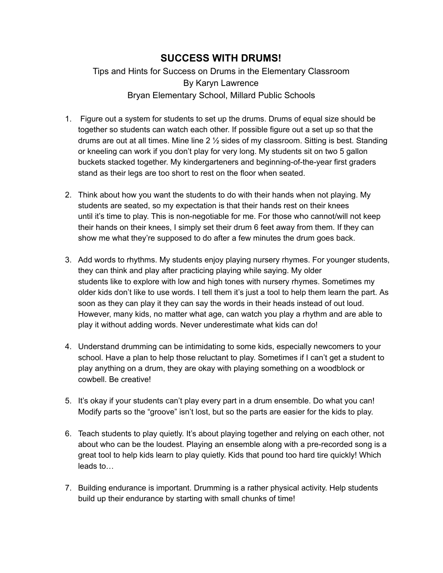## **SUCCESS WITH DRUMS!**

Tips and Hints for Success on Drums in the Elementary Classroom By Karyn Lawrence Bryan Elementary School, Millard Public Schools

- 1. Figure out a system for students to set up the drums. Drums of equal size should be together so students can watch each other. If possible figure out a set up so that the drums are out at all times. Mine line 2 ½ sides of my classroom. Sitting is best. Standing or kneeling can work if you don't play for very long. My students sit on two 5 gallon buckets stacked together. My kindergarteners and beginning-of-the-year first graders stand as their legs are too short to rest on the floor when seated.
- 2. Think about how you want the students to do with their hands when not playing. My students are seated, so my expectation is that their hands rest on their knees until it's time to play. This is non-negotiable for me. For those who cannot/will not keep their hands on their knees, I simply set their drum 6 feet away from them. If they can show me what they're supposed to do after a few minutes the drum goes back.
- 3. Add words to rhythms. My students enjoy playing nursery rhymes. For younger students, they can think and play after practicing playing while saying. My older students like to explore with low and high tones with nursery rhymes. Sometimes my older kids don't like to use words. I tell them it's just a tool to help them learn the part. As soon as they can play it they can say the words in their heads instead of out loud. However, many kids, no matter what age, can watch you play a rhythm and are able to play it without adding words. Never underestimate what kids can do!
- 4. Understand drumming can be intimidating to some kids, especially newcomers to your school. Have a plan to help those reluctant to play. Sometimes if I can't get a student to play anything on a drum, they are okay with playing something on a woodblock or cowbell. Be creative!
- 5. It's okay if your students can't play every part in a drum ensemble. Do what you can! Modify parts so the "groove" isn't lost, but so the parts are easier for the kids to play.
- 6. Teach students to play quietly. It's about playing together and relying on each other, not about who can be the loudest. Playing an ensemble along with a pre-recorded song is a great tool to help kids learn to play quietly. Kids that pound too hard tire quickly! Which leads to…
- 7. Building endurance is important. Drumming is a rather physical activity. Help students build up their endurance by starting with small chunks of time!